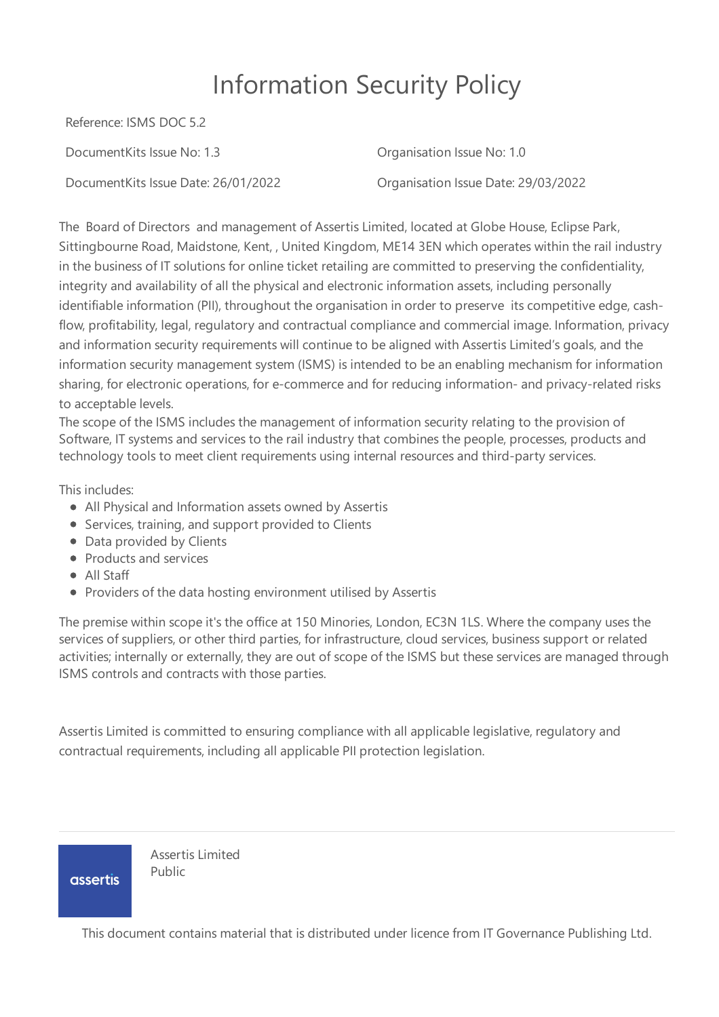# Information Security Policy

Reference: ISMS DOC 5.2

DocumentKits Issue No: 1.3 Organisation Issue No: 1.0

DocumentKits Issue Date: 26/01/2022 Organisation Issue Date: 29/03/2022

The Board of Directors and management of Assertis Limited, located at Globe House, Eclipse Park, Sittingbourne Road, Maidstone, Kent, , United Kingdom, ME14 3EN which operates within the rail industry in the business of IT solutions for online ticket retailing are committed to preserving the confidentiality, integrity and availability of all the physical and electronic information assets, including personally identifiable information (PII), throughout the organisation in order to preserve its competitive edge, cashflow, profitability, legal, regulatory and contractual compliance and commercial image. Information, privacy and information security requirements will continue to be aligned with Assertis Limited's goals, and the information security management system (ISMS) is intended to be an enabling mechanism for information sharing, for electronic operations, for e-commerce and for reducing information- and privacy-related risks to acceptable levels.

The scope of the ISMS includes the management of information security relating to the provision of Software, IT systems and services to the rail industry that combines the people, processes, products and technology tools to meet client requirements using internal resources and third-party services.

This includes:

- All Physical and Information assets owned by Assertis
- Services, training, and support provided to Clients
- Data provided by Clients
- Products and services
- All Staff
- Providers of the data hosting environment utilised by Assertis

The premise within scope it's the office at 150 Minories, London, EC3N 1LS. Where the company uses the services of suppliers, or other third parties, for infrastructure, cloud services, business support or related activities; internally or externally, they are out of scope of the ISMS but these services are managed through ISMS controls and contracts with those parties.

Assertis Limited is committed to ensuring compliance with all applicable legislative, regulatory and contractual requirements, including all applicable PII protection legislation.

**assertis** 

Assertis Limited Public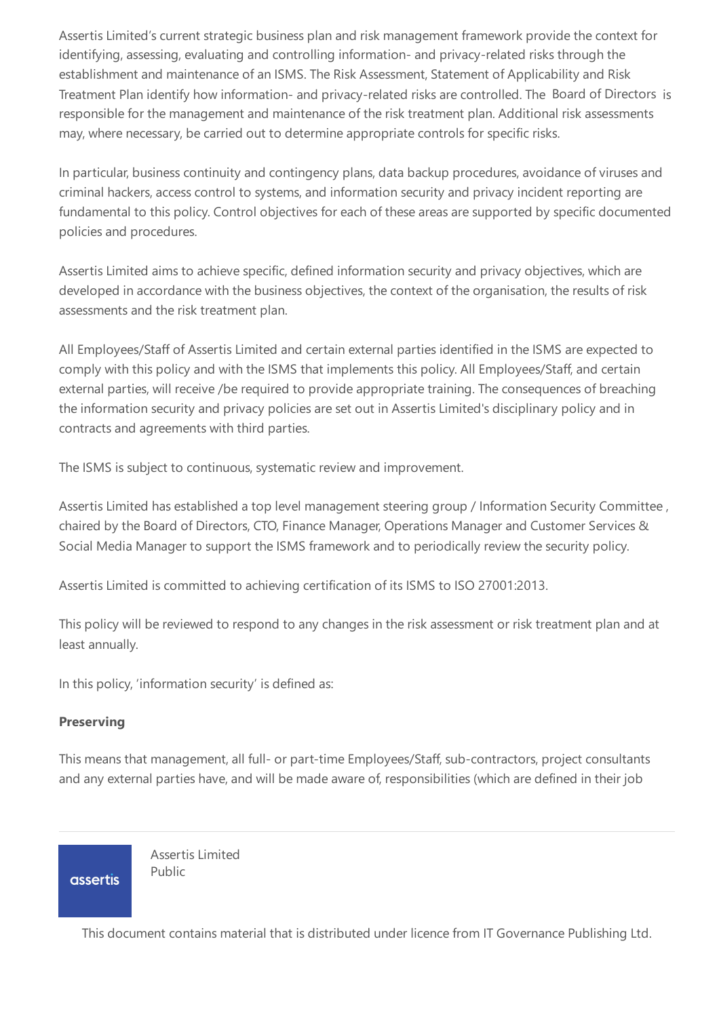Assertis Limited's current strategic business plan and risk management framework provide the context for identifying, assessing, evaluating and controlling information- and privacy-related risks through the establishment and maintenance of an ISMS. The Risk Assessment, Statement of Applicability and Risk Treatment Plan identify how information- and privacy-related risks are controlled. The Board of Directors is responsible for the management and maintenance of the risk treatment plan. Additional risk assessments may, where necessary, be carried out to determine appropriate controls for specific risks.

In particular, business continuity and contingency plans, data backup procedures, avoidance of viruses and criminal hackers, access control to systems, and information security and privacy incident reporting are fundamental to this policy. Control objectives for each of these areas are supported by specific documented policies and procedures.

Assertis Limited aims to achieve specific, defined information security and privacy objectives, which are developed in accordance with the business objectives, the context of the organisation, the results of risk assessments and the risk treatment plan.

All Employees/Staff of Assertis Limited and certain external parties identified in the ISMS are expected to comply with this policy and with the ISMS that implements this policy. All Employees/Staff, and certain external parties, will receive /be required to provide appropriate training. The consequences of breaching the information security and privacy policies are set out in Assertis Limited's disciplinary policy and in contracts and agreements with third parties.

The ISMS is subject to continuous, systematic review and improvement.

Assertis Limited has established a top level management steering group / Information Security Committee , chaired by the Board of Directors, CTO, Finance Manager, Operations Manager and Customer Services & Social Media Manager to support the ISMS framework and to periodically review the security policy.

Assertis Limited is committed to achieving certification of its ISMS to ISO 27001:2013.

This policy will be reviewed to respond to any changes in the risk assessment or risk treatment plan and at least annually.

In this policy, 'information security' is defined as:

## **Preserving**

This means that management, all full- or part-time Employees/Staff, sub-contractors, project consultants and any external parties have, and will be made aware of, responsibilities (which are defined in their job

**assertis** 

Assertis Limited Public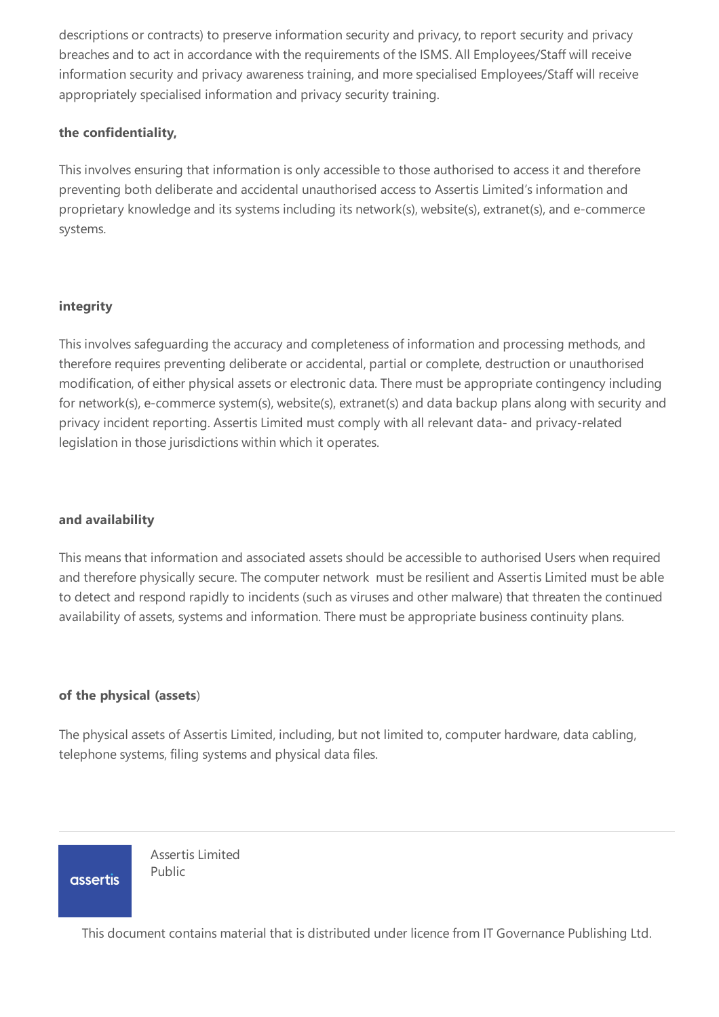descriptions or contracts) to preserve information security and privacy, to report security and privacy breaches and to act in accordance with the requirements of the ISMS. All Employees/Staff will receive information security and privacy awareness training, and more specialised Employees/Staff will receive appropriately specialised information and privacy security training.

## **the confidentiality,**

This involves ensuring that information is only accessible to those authorised to access it and therefore preventing both deliberate and accidental unauthorised access to Assertis Limited's information and proprietary knowledge and its systems including its network(s), website(s), extranet(s), and e-commerce systems.

#### **integrity**

This involves safeguarding the accuracy and completeness of information and processing methods, and therefore requires preventing deliberate or accidental, partial or complete, destruction or unauthorised modification, of either physical assets or electronic data. There must be appropriate contingency including for network(s), e-commerce system(s), website(s), extranet(s) and data backup plans along with security and privacy incident reporting. Assertis Limited must comply with all relevant data- and privacy-related legislation in those jurisdictions within which it operates.

#### **and availability**

This means that information and associated assets should be accessible to authorised Users when required and therefore physically secure. The computer network must be resilient and Assertis Limited must be able to detect and respond rapidly to incidents (such as viruses and other malware) that threaten the continued availability of assets, systems and information. There must be appropriate business continuity plans.

## **of the physical (assets**)

The physical assets of Assertis Limited, including, but not limited to, computer hardware, data cabling, telephone systems, filing systems and physical data files.

**assertis** 

Assertis Limited Public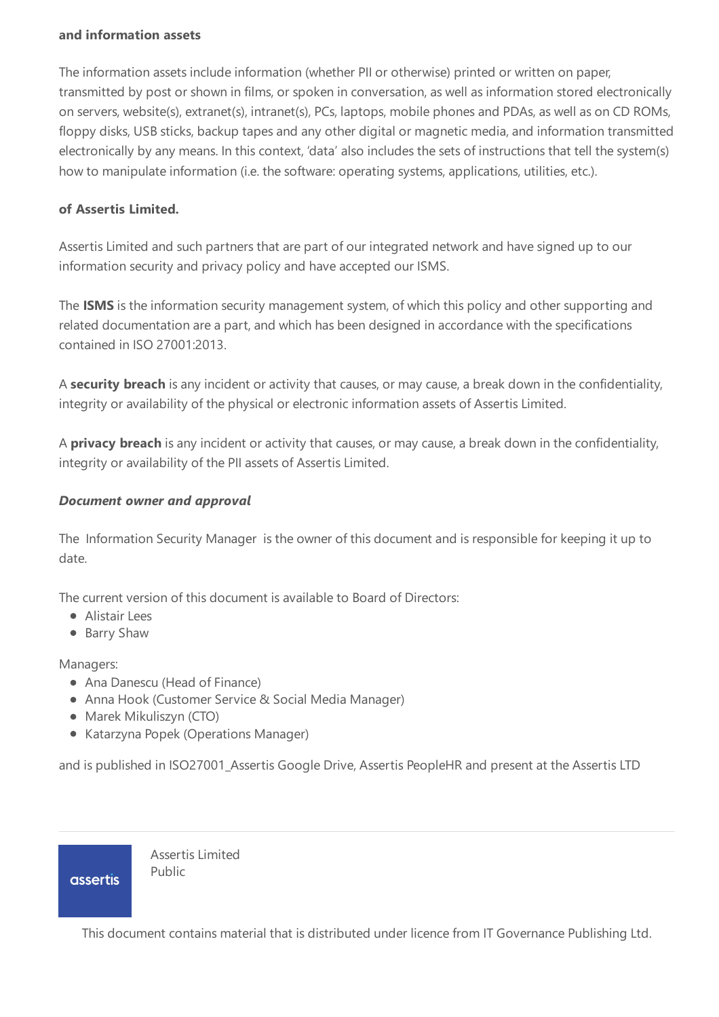### **and information assets**

The information assets include information (whether PII or otherwise) printed or written on paper, transmitted by post or shown in films, or spoken in conversation, as well as information stored electronically on servers, website(s), extranet(s), intranet(s), PCs, laptops, mobile phones and PDAs, as well as on CD ROMs, floppy disks, USB sticks, backup tapes and any other digital or magnetic media, and information transmitted electronically by any means. In this context, 'data' also includes the sets of instructions that tell the system(s) how to manipulate information (i.e. the software: operating systems, applications, utilities, etc.).

## **of Assertis Limited.**

Assertis Limited and such partners that are part of our integrated network and have signed up to our information security and privacy policy and have accepted our ISMS.

The **ISMS** is the information security management system, of which this policy and other supporting and related documentation are a part, and which has been designed in accordance with the specifications contained in ISO 27001:2013.

A **security breach** is any incident or activity that causes, or may cause, a break down in the confidentiality, integrity or availability of the physical or electronic information assets of Assertis Limited.

A **privacy breach** is any incident or activity that causes, or may cause, a break down in the confidentiality, integrity or availability of the PII assets of Assertis Limited.

## *Document owner and approval*

The Information Security Manager is the owner of this document and is responsible for keeping it up to date.

The current version of this document is available to Board of Directors:

- Alistair Lees
- Barry Shaw

Managers:

- Ana Danescu (Head of Finance)
- Anna Hook (Customer Service & Social Media Manager)
- Marek Mikuliszyn (CTO)
- Katarzyna Popek (Operations Manager)

and is published in ISO27001\_Assertis Google Drive, Assertis PeopleHR and present at the Assertis LTD

**assertis** 

Assertis Limited Public